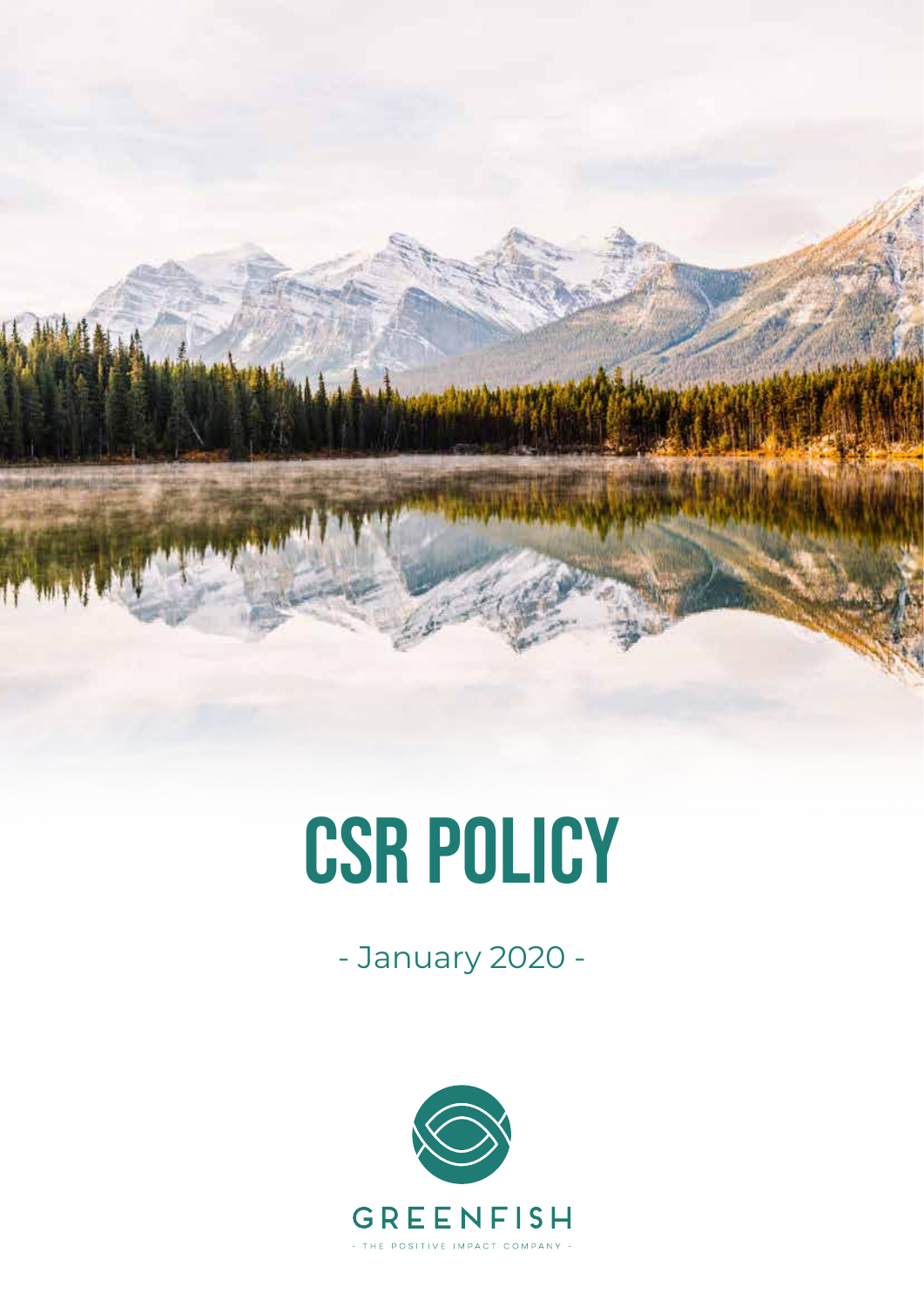

# CSR POLICY

- January 2020 -

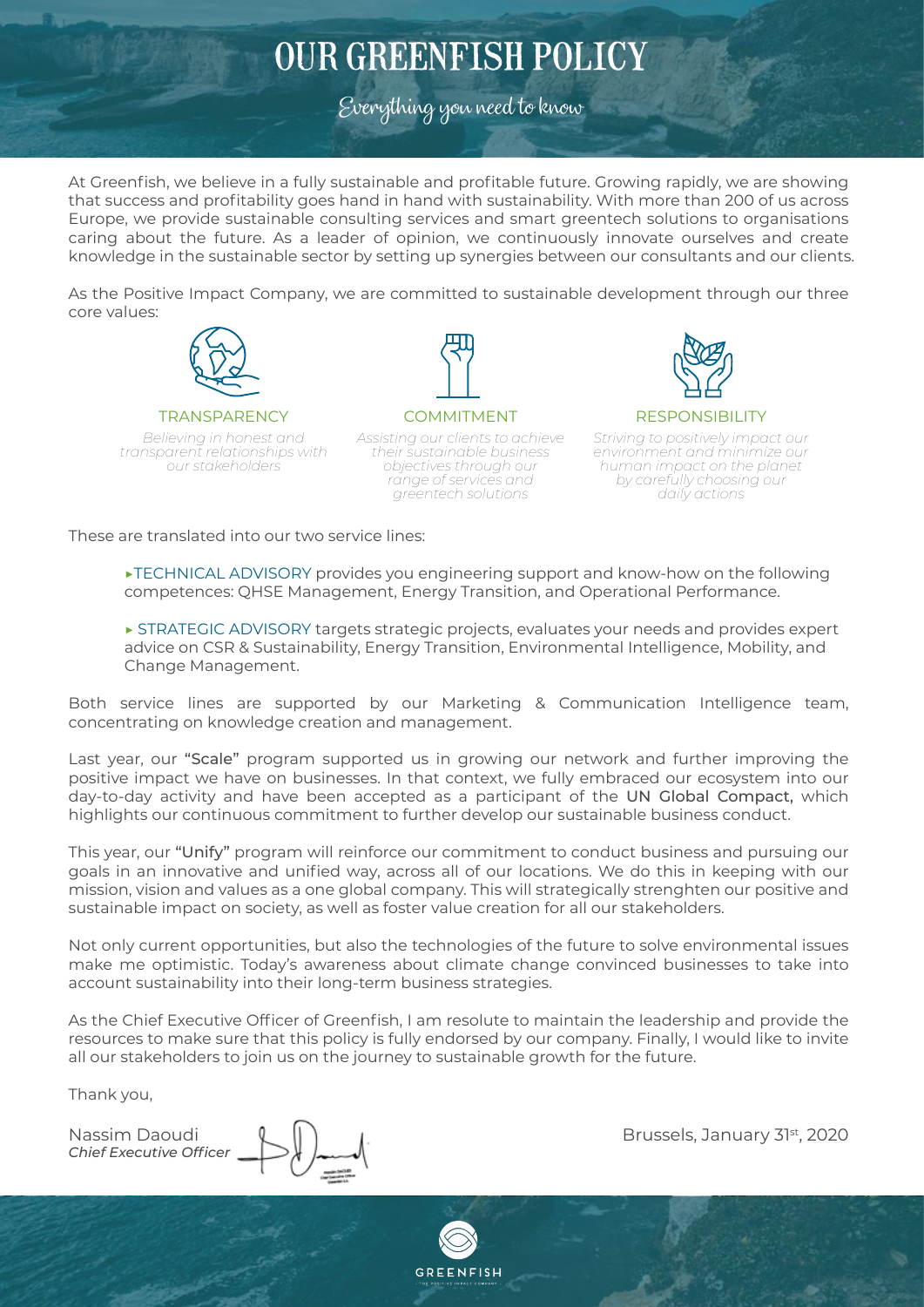# OUR GREENFISH POLICY

Everything you need to know

At Greenfish, we believe in a fully sustainable and profitable future. Growing rapidly, we are showing that success and profitability goes hand in hand with sustainability. With more than 200 of us across Europe, we provide sustainable consulting services and smart greentech solutions to organisations caring about the future. As a leader of opinion, we continuously innovate ourselves and create knowledge in the sustainable sector by setting up synergies between our consultants and our clients.

As the Positive Impact Company, we are committed to sustainable development through our three core values:



#### **TRANSPARENCY**

*Believing in honest and transparent relationships with our stakeholders*

COMMITMENT *Assisting our clients to achieve their sustainable business objectives through our range of services and greentech solutions*



#### **RESPONSIBILITY**

*Striving to positively impact our environment and minimize our human impact on the planet by carefully choosing our daily actions*

These are translated into our two service lines:

 ▶TECHNICAL ADVISORY provides you engineering support and know-how on the following competences: QHSE Management, Energy Transition, and Operational Performance.

 ▶ STRATEGIC ADVISORY targets strategic projects, evaluates your needs and provides expert advice on CSR & Sustainability, Energy Transition, Environmental Intelligence, Mobility, and Change Management.

Both service lines are supported by our Marketing & Communication Intelligence team, concentrating on knowledge creation and management.

Last year, our "Scale" program supported us in growing our network and further improving the positive impact we have on businesses. In that context, we fully embraced our ecosystem into our day-to-day activity and have been accepted as a participant of the UN Global Compact, which highlights our continuous commitment to further develop our sustainable business conduct.

This year, our "Unify" program will reinforce our commitment to conduct business and pursuing our goals in an innovative and unified way, across all of our locations. We do this in keeping with our mission, vision and values as a one global company. This will strategically strenghten our positive and sustainable impact on society, as well as foster value creation for all our stakeholders.

Not only current opportunities, but also the technologies of the future to solve environmental issues make me optimistic. Today's awareness about climate change convinced businesses to take into account sustainability into their long-term business strategies.

As the Chief Executive Officer of Greenfish, I am resolute to maintain the leadership and provide the resources to make sure that this policy is fully endorsed by our company. Finally, I would like to invite all our stakeholders to join us on the journey to sustainable growth for the future.

Thank you,

*Chief Executive Officer*

Nassim Daoudi (Brussels, January 31st, 2020)

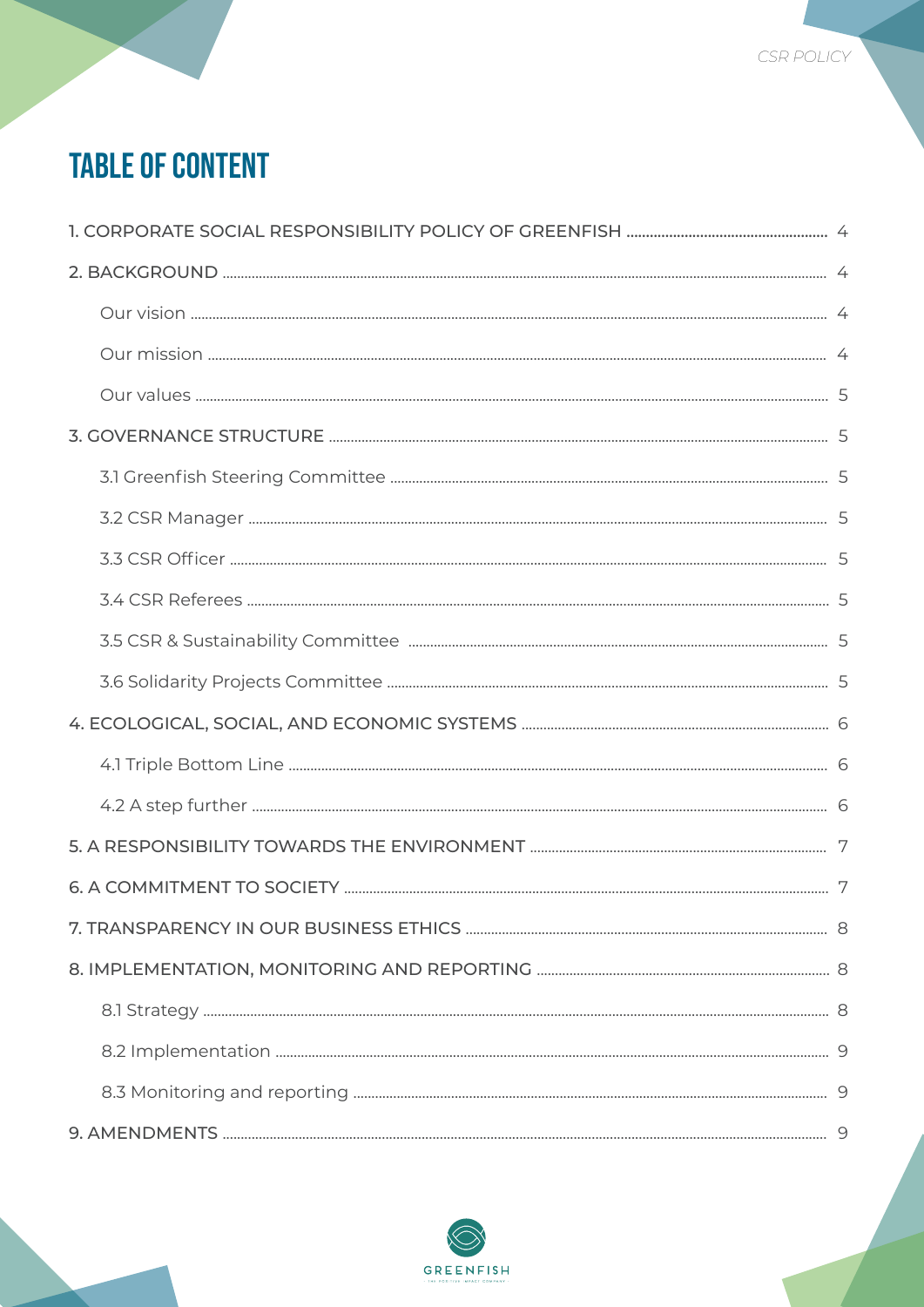# **TABLE OF CONTENT**

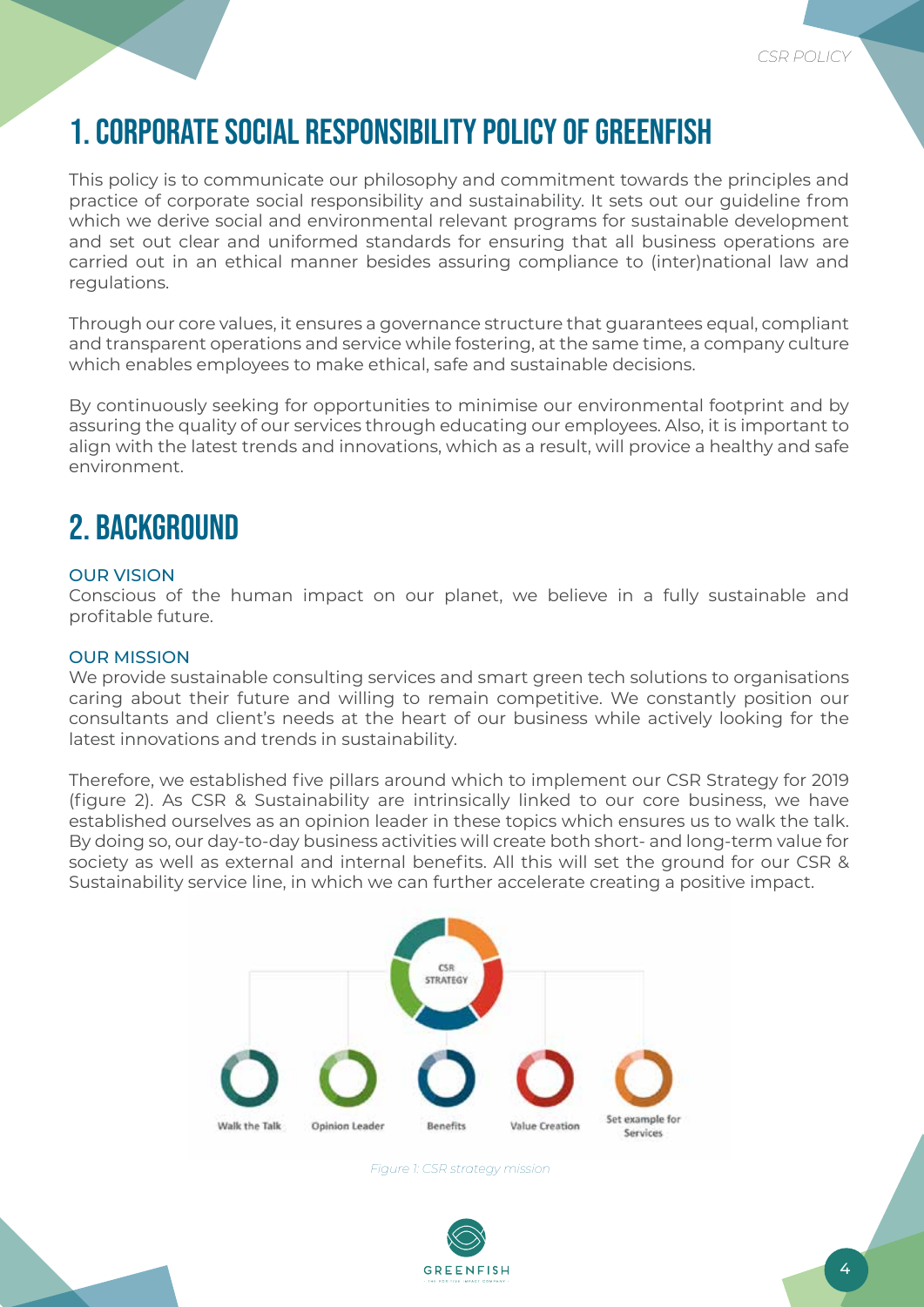# 1. CORPORATE SOCIAL RESPONSIBILITY POLICY OF GREENFISH

This policy is to communicate our philosophy and commitment towards the principles and practice of corporate social responsibility and sustainability. It sets out our guideline from which we derive social and environmental relevant programs for sustainable development and set out clear and uniformed standards for ensuring that all business operations are carried out in an ethical manner besides assuring compliance to (inter)national law and regulations.

Through our core values, it ensures a governance structure that guarantees equal, compliant and transparent operations and service while fostering, at the same time, a company culture which enables employees to make ethical, safe and sustainable decisions.

By continuously seeking for opportunities to minimise our environmental footprint and by assuring the quality of our services through educating our employees. Also, it is important to align with the latest trends and innovations, which as a result, will provice a healthy and safe environment.

### 2. BACKGROUND

#### OUR VISION

Conscious of the human impact on our planet, we believe in a fully sustainable and profitable future.

#### OUR MISSION

We provide sustainable consulting services and smart green tech solutions to organisations caring about their future and willing to remain competitive. We constantly position our consultants and client's needs at the heart of our business while actively looking for the latest innovations and trends in sustainability.

Therefore, we established five pillars around which to implement our CSR Strategy for 2019 (figure 2). As CSR & Sustainability are intrinsically linked to our core business, we have established ourselves as an opinion leader in these topics which ensures us to walk the talk. By doing so, our day-to-day business activities will create both short- and long-term value for society as well as external and internal benefits. All this will set the ground for our CSR & Sustainability service line, in which we can further accelerate creating a positive impact.



*Figure 1: CSR strategy mission*

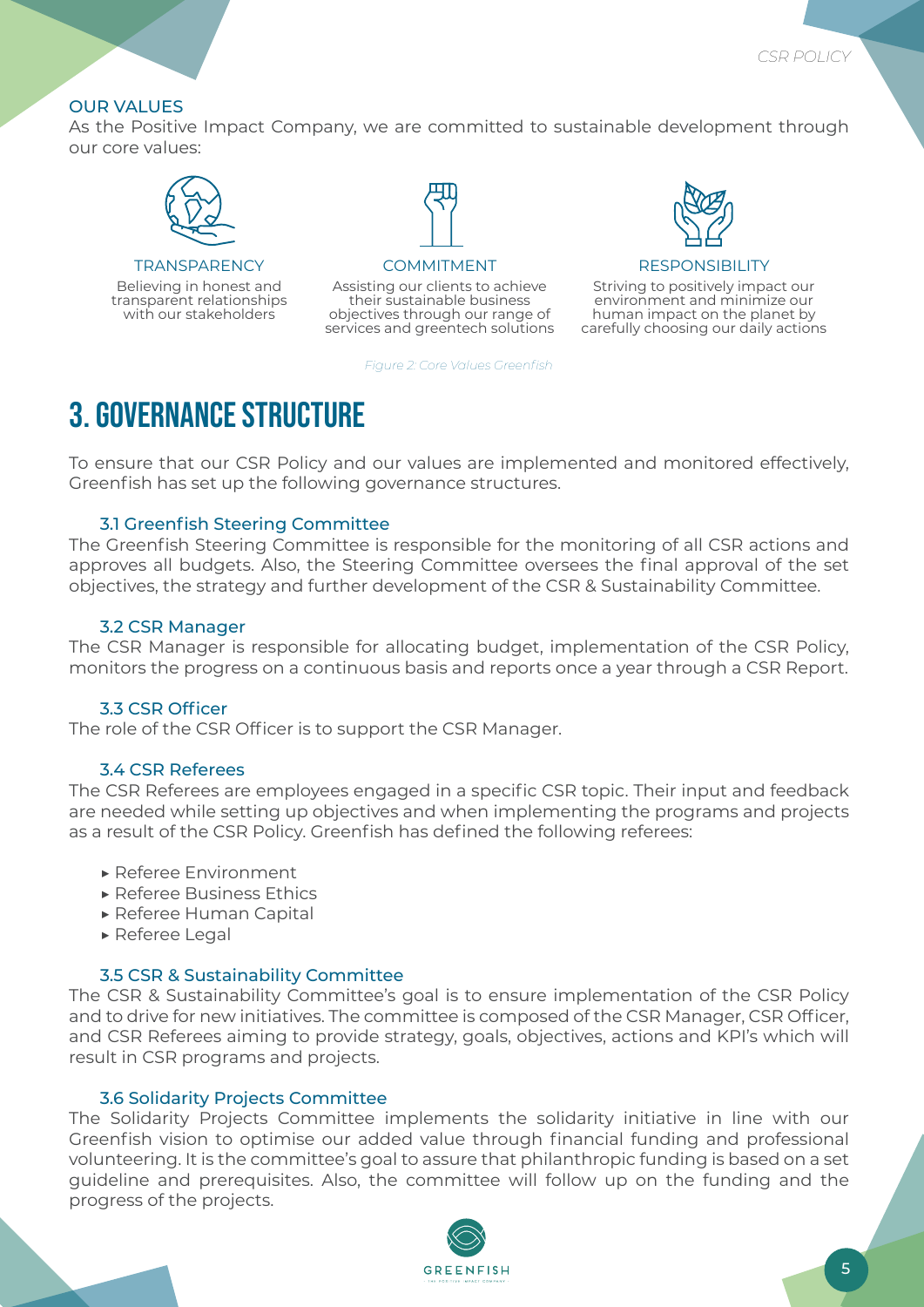#### OUR VALUES

As the Positive Impact Company, we are committed to sustainable development through our core values:



**TRANSPARENCY** 

Believing in honest and transparent relationships with our stakeholders



#### COMMITMENT

Assisting our clients to achieve their sustainable business objectives through our range of services and greentech solutions

*Figure 2: Core Values Greenfish*



#### **RESPON**

Striving to positively impact our environment and minimize our human impact on the planet by carefully choosing our daily actions

### 3. GOVERNANCE STRUCTURE

To ensure that our CSR Policy and our values are implemented and monitored effectively, Greenfish has set up the following governance structures.

#### 3.1 Greenfish Steering Committee

The Greenfish Steering Committee is responsible for the monitoring of all CSR actions and approves all budgets. Also, the Steering Committee oversees the final approval of the set objectives, the strategy and further development of the CSR & Sustainability Committee.

#### 3.2 CSR Manager

The CSR Manager is responsible for allocating budget, implementation of the CSR Policy, monitors the progress on a continuous basis and reports once a year through a CSR Report.

#### 3.3 CSR Officer

The role of the CSR Officer is to support the CSR Manager.

#### 3.4 CSR Referees

The CSR Referees are employees engaged in a specific CSR topic. Their input and feedback are needed while setting up objectives and when implementing the programs and projects as a result of the CSR Policy. Greenfish has defined the following referees:

- ▶ Referee Environment
- ▶ Referee Business Ethics
- ▶ Referee Human Capital
- ▶ Referee Legal

#### 3.5 CSR & Sustainability Committee

The CSR & Sustainability Committee's goal is to ensure implementation of the CSR Policy and to drive for new initiatives. The committee is composed of the CSR Manager, CSR Officer, and CSR Referees aiming to provide strategy, goals, objectives, actions and KPI's which will result in CSR programs and projects.

#### 3.6 Solidarity Projects Committee

The Solidarity Projects Committee implements the solidarity initiative in line with our Greenfish vision to optimise our added value through financial funding and professional volunteering. It is the committee's goal to assure that philanthropic funding is based on a set guideline and prerequisites. Also, the committee will follow up on the funding and the progress of the projects.

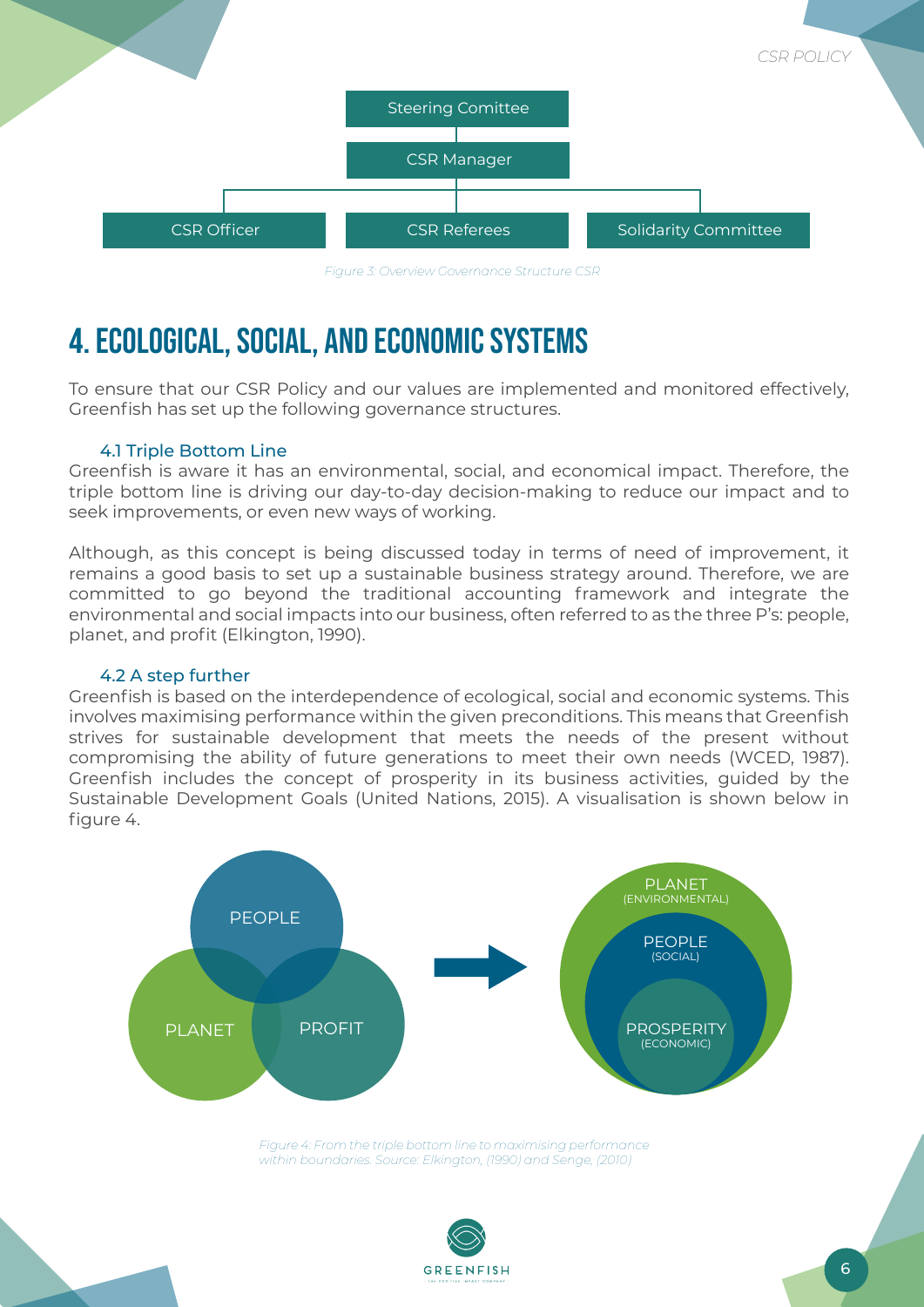

#### *Figure 3: Overview Governance Structure CSR*

# 4. ECOLOGICAL, SOCIAL, AND ECONOMIC SYSTEMS

To ensure that our CSR Policy and our values are implemented and monitored effectively, Greenfish has set up the following governance structures.

#### 4.1 Triple Bottom Line

Greenfish is aware it has an environmental, social, and economical impact. Therefore, the triple bottom line is driving our day-to-day decision-making to reduce our impact and to seek improvements, or even new ways of working.

Although, as this concept is being discussed today in terms of need of improvement, it remains a good basis to set up a sustainable business strategy around. Therefore, we are committed to go beyond the traditional accounting framework and integrate the environmental and social impacts into our business, often referred to as the three P's: people, planet, and profit (Elkington, 1990).

#### 4.2 A step further

Greenfish is based on the interdependence of ecological, social and economic systems. This involves maximising performance within the given preconditions. This means that Greenfish strives for sustainable development that meets the needs of the present without compromising the ability of future generations to meet their own needs (WCED, 1987). Greenfish includes the concept of prosperity in its business activities, guided by the Sustainable Development Goals (United Nations, 2015). A visualisation is shown below in figure 4.



*Figure 4: From the triple bottom line to maximising performance within boundaries. Source: Elkington, (1990) and Senge, (2010)* 

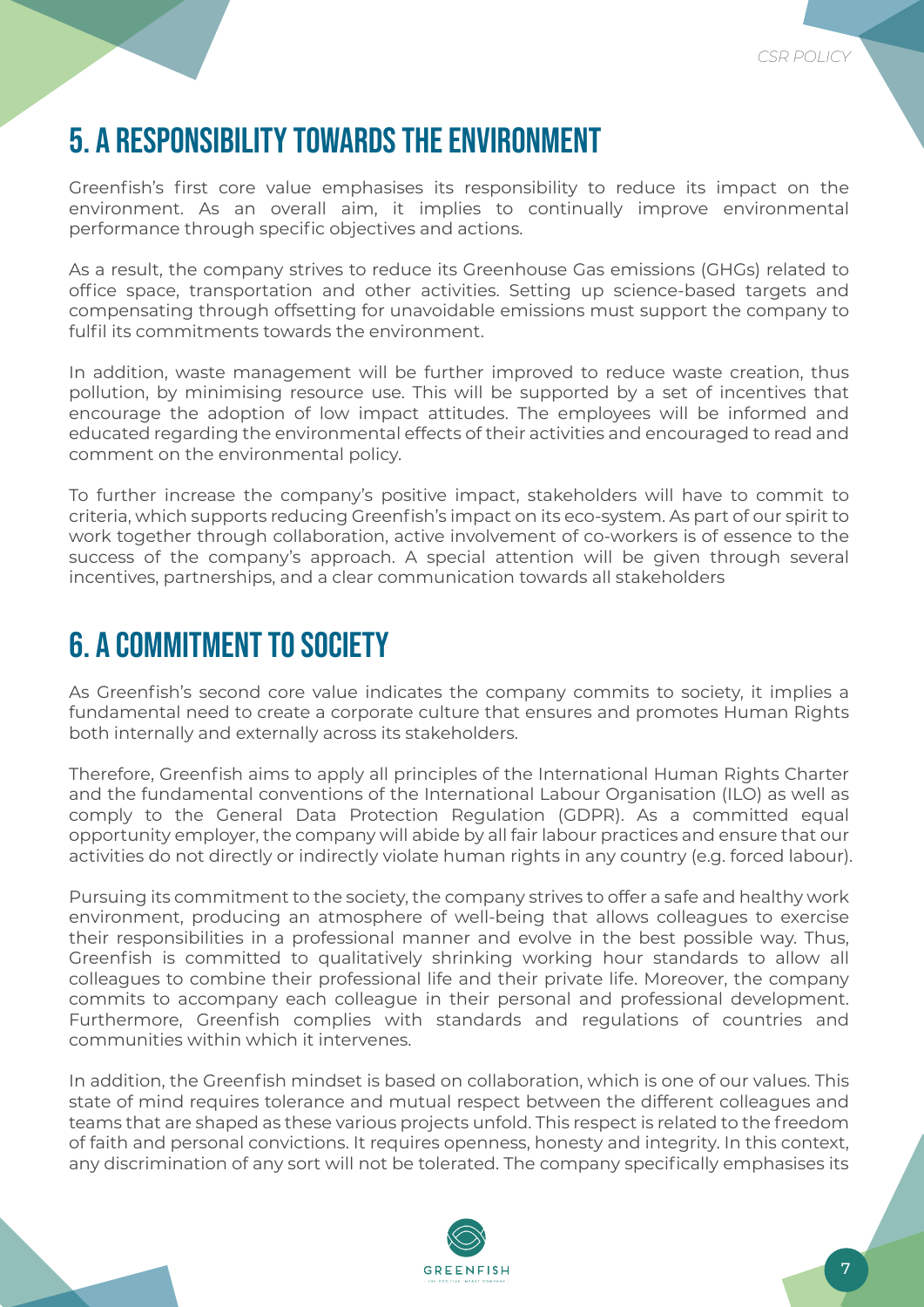# 5. A RESPONSIBILITY TOWARDS THE ENVIRONMENT

Greenfish's first core value emphasises its responsibility to reduce its impact on the environment. As an overall aim, it implies to continually improve environmental performance through specific objectives and actions.

As a result, the company strives to reduce its Greenhouse Gas emissions (GHGs) related to office space, transportation and other activities. Setting up science-based targets and compensating through offsetting for unavoidable emissions must support the company to fulfil its commitments towards the environment.

In addition, waste management will be further improved to reduce waste creation, thus pollution, by minimising resource use. This will be supported by a set of incentives that encourage the adoption of low impact attitudes. The employees will be informed and educated regarding the environmental effects of their activities and encouraged to read and comment on the environmental policy.

To further increase the company's positive impact, stakeholders will have to commit to criteria, which supports reducing Greenfish's impact on its eco-system. As part of our spirit to work together through collaboration, active involvement of co-workers is of essence to the success of the company's approach. A special attention will be given through several incentives, partnerships, and a clear communication towards all stakeholders

### 6. A COMMITMENT TO SOCIETY

As Greenfish's second core value indicates the company commits to society, it implies a fundamental need to create a corporate culture that ensures and promotes Human Rights both internally and externally across its stakeholders.

Therefore, Greenfish aims to apply all principles of the International Human Rights Charter and the fundamental conventions of the International Labour Organisation (ILO) as well as comply to the General Data Protection Regulation (GDPR). As a committed equal opportunity employer, the company will abide by all fair labour practices and ensure that our activities do not directly or indirectly violate human rights in any country (e.g. forced labour).

Pursuing its commitment to the society, the company strives to offer a safe and healthy work environment, producing an atmosphere of well-being that allows colleagues to exercise their responsibilities in a professional manner and evolve in the best possible way. Thus, Greenfish is committed to qualitatively shrinking working hour standards to allow all colleagues to combine their professional life and their private life. Moreover, the company commits to accompany each colleague in their personal and professional development. Furthermore, Greenfish complies with standards and regulations of countries and communities within which it intervenes.

In addition, the Greenfish mindset is based on collaboration, which is one of our values. This state of mind requires tolerance and mutual respect between the different colleagues and teams that are shaped as these various projects unfold. This respect is related to the freedom of faith and personal convictions. It requires openness, honesty and integrity. In this context, any discrimination of any sort will not be tolerated. The company specifically emphasises its

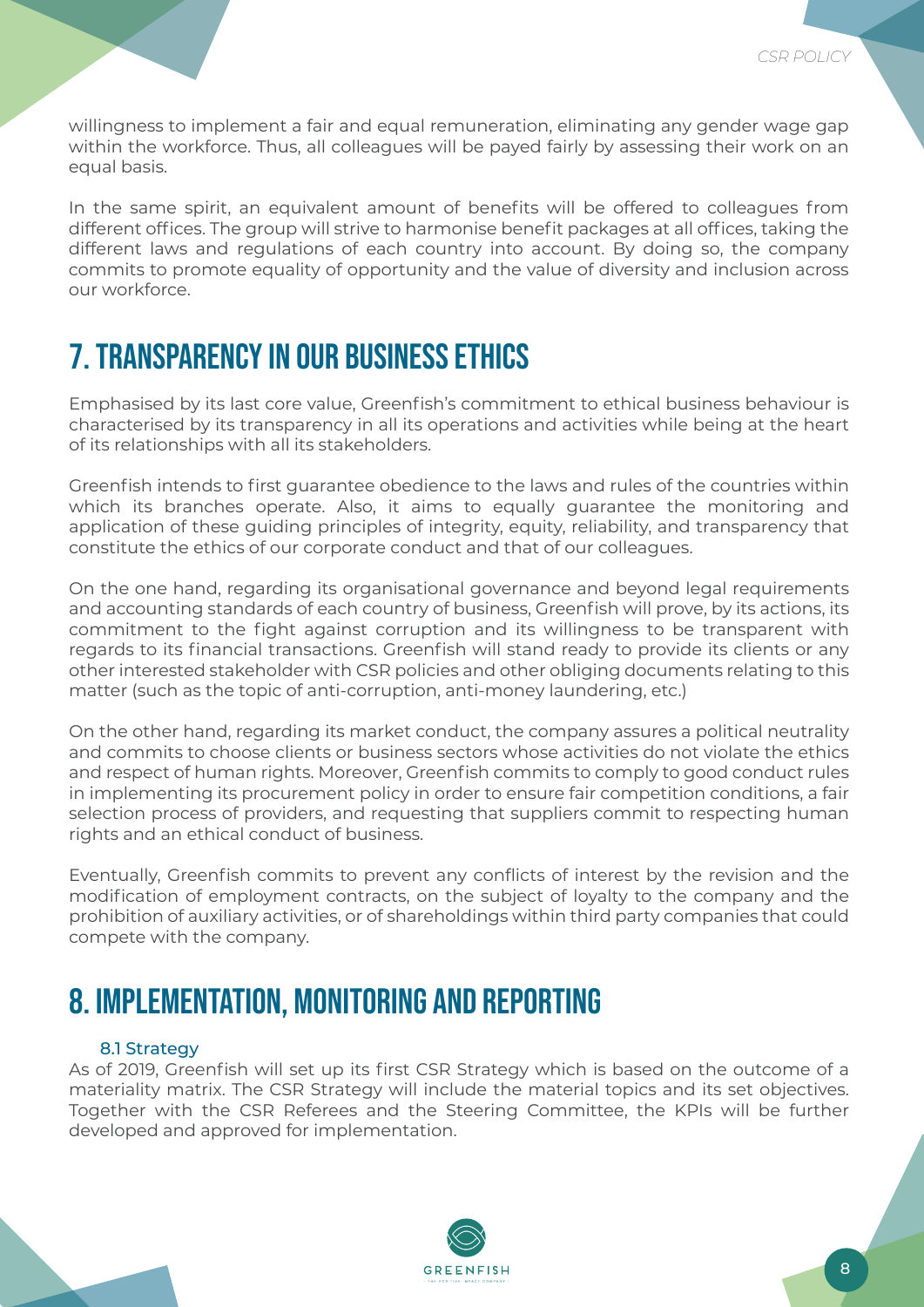willingness to implement a fair and equal remuneration, eliminating any gender wage gap within the workforce. Thus, all colleagues will be payed fairly by assessing their work on an equal basis.

In the same spirit, an equivalent amount of benefits will be offered to colleagues from different offices. The group will strive to harmonise benefit packages at all offices, taking the different laws and regulations of each country into account. By doing so, the company commits to promote equality of opportunity and the value of diversity and inclusion across our workforce.

## 7. TRANSPARENCY IN OUR BUSINESS ETHICS

Emphasised by its last core value, Greenfish's commitment to ethical business behaviour is characterised by its transparency in all its operations and activities while being at the heart of its relationships with all its stakeholders.

Greenfish intends to first guarantee obedience to the laws and rules of the countries within which its branches operate. Also, it aims to equally guarantee the monitoring and application of these guiding principles of integrity, equity, reliability, and transparency that constitute the ethics of our corporate conduct and that of our colleagues.

On the one hand, regarding its organisational governance and beyond legal requirements and accounting standards of each country of business, Greenfish will prove, by its actions, its commitment to the fight against corruption and its willingness to be transparent with regards to its financial transactions. Greenfish will stand ready to provide its clients or any other interested stakeholder with CSR policies and other obliging documents relating to this matter (such as the topic of anti-corruption, anti-money laundering, etc.)

On the other hand, regarding its market conduct, the company assures a political neutrality and commits to choose clients or business sectors whose activities do not violate the ethics and respect of human rights. Moreover, Greenfish commits to comply to good conduct rules in implementing its procurement policy in order to ensure fair competition conditions, a fair selection process of providers, and requesting that suppliers commit to respecting human rights and an ethical conduct of business.

Eventually, Greenfish commits to prevent any conflicts of interest by the revision and the modification of employment contracts, on the subject of loyalty to the company and the prohibition of auxiliary activities, or of shareholdings within third party companies that could compete with the company.

### 8. IMPLEMENTATION, MONITORING AND REPORTING

#### 8.1 Strategy

As of 2019, Greenfish will set up its first CSR Strategy which is based on the outcome of a materiality matrix. The CSR Strategy will include the material topics and its set objectives. Together with the CSR Referees and the Steering Committee, the KPIs will be further developed and approved for implementation.